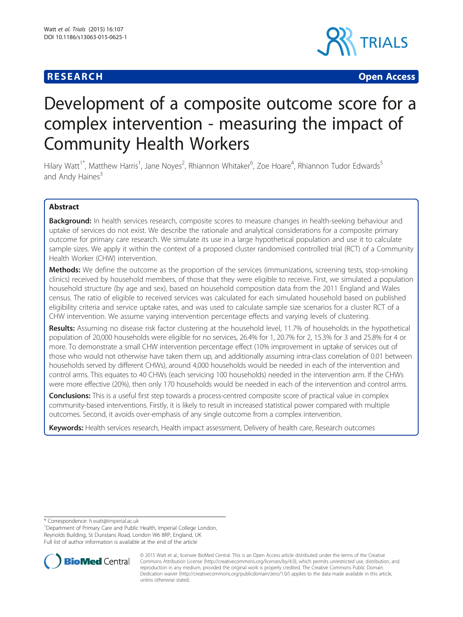# **RESEARCH CHE CHE Open Access**



# Development of a composite outcome score for a complex intervention - measuring the impact of Community Health Workers

Hilary Watt<sup>1\*</sup>, Matthew Harris<sup>1</sup>, Jane Noyes<sup>2</sup>, Rhiannon Whitaker<sup>6</sup>, Zoe Hoare<sup>4</sup>, Rhiannon Tudor Edwards<sup>5</sup> and Andy Haines<sup>3</sup>

# Abstract

**Background:** In health services research, composite scores to measure changes in health-seeking behaviour and uptake of services do not exist. We describe the rationale and analytical considerations for a composite primary outcome for primary care research. We simulate its use in a large hypothetical population and use it to calculate sample sizes. We apply it within the context of a proposed cluster randomised controlled trial (RCT) of a Community Health Worker (CHW) intervention.

**Methods:** We define the outcome as the proportion of the services (immunizations, screening tests, stop-smoking clinics) received by household members, of those that they were eligible to receive. First, we simulated a population household structure (by age and sex), based on household composition data from the 2011 England and Wales census. The ratio of eligible to received services was calculated for each simulated household based on published eligibility criteria and service uptake rates, and was used to calculate sample size scenarios for a cluster RCT of a CHW intervention. We assume varying intervention percentage effects and varying levels of clustering.

Results: Assuming no disease risk factor clustering at the household level, 11.7% of households in the hypothetical population of 20,000 households were eligible for no services, 26.4% for 1, 20.7% for 2, 15.3% for 3 and 25.8% for 4 or more. To demonstrate a small CHW intervention percentage effect (10% improvement in uptake of services out of those who would not otherwise have taken them up, and additionally assuming intra-class correlation of 0.01 between households served by different CHWs), around 4,000 households would be needed in each of the intervention and control arms. This equates to 40 CHWs (each servicing 100 households) needed in the intervention arm. If the CHWs were more effective (20%), then only 170 households would be needed in each of the intervention and control arms.

**Conclusions:** This is a useful first step towards a process-centred composite score of practical value in complex community-based interventions. Firstly, it is likely to result in increased statistical power compared with multiple outcomes. Second, it avoids over-emphasis of any single outcome from a complex intervention.

Keywords: Health services research, Health impact assessment, Delivery of health care, Research outcomes

\* Correspondence: [h.watt@imperial.ac.uk](mailto:h.watt@imperial.ac.uk) <sup>1</sup>

<sup>1</sup>Department of Primary Care and Public Health, Imperial College London, Reynolds Building, St Dunstans Road, London W6 8RP, England, UK Full list of author information is available at the end of the article



© 2015 Watt et al.; licensee BioMed Central. This is an Open Access article distributed under the terms of the Creative Commons Attribution License [\(http://creativecommons.org/licenses/by/4.0\)](http://creativecommons.org/licenses/by/4.0), which permits unrestricted use, distribution, and reproduction in any medium, provided the original work is properly credited. The Creative Commons Public Domain Dedication waiver [\(http://creativecommons.org/publicdomain/zero/1.0/](http://creativecommons.org/publicdomain/zero/1.0/)) applies to the data made available in this article, unless otherwise stated.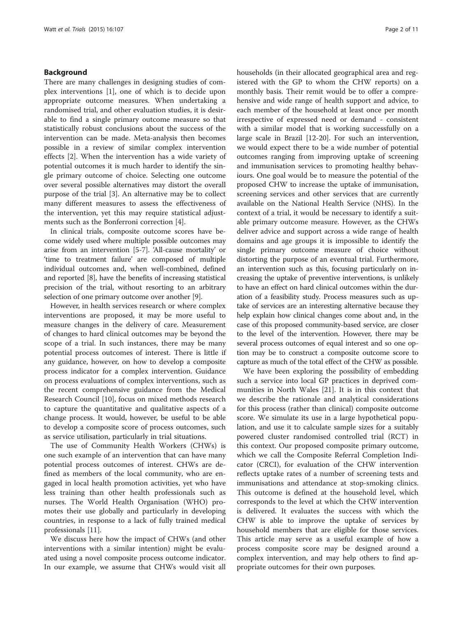# Background

There are many challenges in designing studies of complex interventions [[1\]](#page-9-0), one of which is to decide upon appropriate outcome measures. When undertaking a randomised trial, and other evaluation studies, it is desirable to find a single primary outcome measure so that statistically robust conclusions about the success of the intervention can be made. Meta-analysis then becomes possible in a review of similar complex intervention effects [[2\]](#page-9-0). When the intervention has a wide variety of potential outcomes it is much harder to identify the single primary outcome of choice. Selecting one outcome over several possible alternatives may distort the overall purpose of the trial [\[3](#page-9-0)]. An alternative may be to collect many different measures to assess the effectiveness of the intervention, yet this may require statistical adjustments such as the Bonferroni correction [[4\]](#page-9-0).

In clinical trials, composite outcome scores have become widely used where multiple possible outcomes may arise from an intervention [\[5-7](#page-9-0)]. 'All-cause mortality' or 'time to treatment failure' are composed of multiple individual outcomes and, when well-combined, defined and reported [[8\]](#page-9-0), have the benefits of increasing statistical precision of the trial, without resorting to an arbitrary selection of one primary outcome over another [[9](#page-9-0)].

However, in health services research or where complex interventions are proposed, it may be more useful to measure changes in the delivery of care. Measurement of changes to hard clinical outcomes may be beyond the scope of a trial. In such instances, there may be many potential process outcomes of interest. There is little if any guidance, however, on how to develop a composite process indicator for a complex intervention. Guidance on process evaluations of complex interventions, such as the recent comprehensive guidance from the Medical Research Council [\[10\]](#page-9-0), focus on mixed methods research to capture the quantitative and qualitative aspects of a change process. It would, however, be useful to be able to develop a composite score of process outcomes, such as service utilisation, particularly in trial situations.

The use of Community Health Workers (CHWs) is one such example of an intervention that can have many potential process outcomes of interest. CHWs are defined as members of the local community, who are engaged in local health promotion activities, yet who have less training than other health professionals such as nurses. The World Health Organisation (WHO) promotes their use globally and particularly in developing countries, in response to a lack of fully trained medical professionals [\[11](#page-9-0)].

We discuss here how the impact of CHWs (and other interventions with a similar intention) might be evaluated using a novel composite process outcome indicator. In our example, we assume that CHWs would visit all households (in their allocated geographical area and registered with the GP to whom the CHW reports) on a monthly basis. Their remit would be to offer a comprehensive and wide range of health support and advice, to each member of the household at least once per month irrespective of expressed need or demand - consistent with a similar model that is working successfully on a large scale in Brazil [[12-](#page-9-0)[20](#page-10-0)]. For such an intervention, we would expect there to be a wide number of potential outcomes ranging from improving uptake of screening and immunisation services to promoting healthy behaviours. One goal would be to measure the potential of the proposed CHW to increase the uptake of immunisation, screening services and other services that are currently available on the National Health Service (NHS). In the context of a trial, it would be necessary to identify a suitable primary outcome measure. However, as the CHWs deliver advice and support across a wide range of health domains and age groups it is impossible to identify the single primary outcome measure of choice without distorting the purpose of an eventual trial. Furthermore, an intervention such as this, focusing particularly on increasing the uptake of preventive interventions, is unlikely to have an effect on hard clinical outcomes within the duration of a feasibility study. Process measures such as uptake of services are an interesting alternative because they help explain how clinical changes come about and, in the case of this proposed community-based service, are closer to the level of the intervention. However, there may be several process outcomes of equal interest and so one option may be to construct a composite outcome score to capture as much of the total effect of the CHW as possible.

We have been exploring the possibility of embedding such a service into local GP practices in deprived communities in North Wales [\[21\]](#page-10-0). It is in this context that we describe the rationale and analytical considerations for this process (rather than clinical) composite outcome score. We simulate its use in a large hypothetical population, and use it to calculate sample sizes for a suitably powered cluster randomised controlled trial (RCT) in this context. Our proposed composite primary outcome, which we call the Composite Referral Completion Indicator (CRCI), for evaluation of the CHW intervention reflects uptake rates of a number of screening tests and immunisations and attendance at stop-smoking clinics. This outcome is defined at the household level, which corresponds to the level at which the CHW intervention is delivered. It evaluates the success with which the CHW is able to improve the uptake of services by household members that are eligible for those services. This article may serve as a useful example of how a process composite score may be designed around a complex intervention, and may help others to find appropriate outcomes for their own purposes.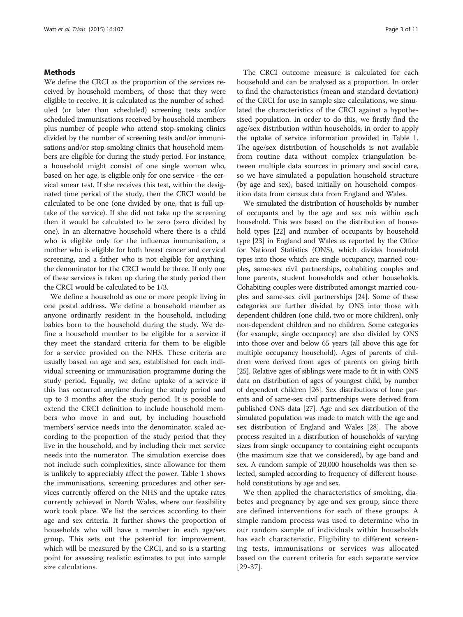# **Methods**

We define the CRCI as the proportion of the services received by household members, of those that they were eligible to receive. It is calculated as the number of scheduled (or later than scheduled) screening tests and/or scheduled immunisations received by household members plus number of people who attend stop-smoking clinics divided by the number of screening tests and/or immunisations and/or stop-smoking clinics that household members are eligible for during the study period. For instance, a household might consist of one single woman who, based on her age, is eligible only for one service - the cervical smear test. If she receives this test, within the designated time period of the study, then the CRCI would be calculated to be one (one divided by one, that is full uptake of the service). If she did not take up the screening then it would be calculated to be zero (zero divided by one). In an alternative household where there is a child who is eligible only for the influenza immunisation, a mother who is eligible for both breast cancer and cervical screening, and a father who is not eligible for anything, the denominator for the CRCI would be three. If only one of these services is taken up during the study period then the CRCI would be calculated to be 1/3.

We define a household as one or more people living in one postal address. We define a household member as anyone ordinarily resident in the household, including babies born to the household during the study. We define a household member to be eligible for a service if they meet the standard criteria for them to be eligible for a service provided on the NHS. These criteria are usually based on age and sex, established for each individual screening or immunisation programme during the study period. Equally, we define uptake of a service if this has occurred anytime during the study period and up to 3 months after the study period. It is possible to extend the CRCI definition to include household members who move in and out, by including household members' service needs into the denominator, scaled according to the proportion of the study period that they live in the household, and by including their met service needs into the numerator. The simulation exercise does not include such complexities, since allowance for them is unlikely to appreciably affect the power. Table [1](#page-3-0) shows the immunisations, screening procedures and other services currently offered on the NHS and the uptake rates currently achieved in North Wales, where our feasibility work took place. We list the services according to their age and sex criteria. It further shows the proportion of households who will have a member in each age/sex group. This sets out the potential for improvement, which will be measured by the CRCI, and so is a starting point for assessing realistic estimates to put into sample size calculations.

The CRCI outcome measure is calculated for each household and can be analysed as a proportion. In order to find the characteristics (mean and standard deviation) of the CRCI for use in sample size calculations, we simulated the characteristics of the CRCI against a hypothesised population. In order to do this, we firstly find the age/sex distribution within households, in order to apply the uptake of service information provided in Table [1](#page-3-0). The age/sex distribution of households is not available from routine data without complex triangulation between multiple data sources in primary and social care, so we have simulated a population household structure (by age and sex), based initially on household composition data from census data from England and Wales.

We simulated the distribution of households by number of occupants and by the age and sex mix within each household. This was based on the distribution of household types [[22](#page-10-0)] and number of occupants by household type [[23](#page-10-0)] in England and Wales as reported by the Office for National Statistics (ONS), which divides household types into those which are single occupancy, married couples, same-sex civil partnerships, cohabiting couples and lone parents, student households and other households. Cohabiting couples were distributed amongst married couples and same-sex civil partnerships [[24\]](#page-10-0). Some of these categories are further divided by ONS into those with dependent children (one child, two or more children), only non-dependent children and no children. Some categories (for example, single occupancy) are also divided by ONS into those over and below 65 years (all above this age for multiple occupancy household). Ages of parents of children were derived from ages of parents on giving birth [[25](#page-10-0)]. Relative ages of siblings were made to fit in with ONS data on distribution of ages of youngest child, by number of dependent children [[26](#page-10-0)]. Sex distributions of lone parents and of same-sex civil partnerships were derived from published ONS data [\[27\]](#page-10-0). Age and sex distribution of the simulated population was made to match with the age and sex distribution of England and Wales [\[28\]](#page-10-0). The above process resulted in a distribution of households of varying sizes from single occupancy to containing eight occupants (the maximum size that we considered), by age band and sex. A random sample of 20,000 households was then selected, sampled according to frequency of different household constitutions by age and sex.

We then applied the characteristics of smoking, diabetes and pregnancy by age and sex group, since there are defined interventions for each of these groups. A simple random process was used to determine who in our random sample of individuals within households has each characteristic. Eligibility to different screening tests, immunisations or services was allocated based on the current criteria for each separate service [[29](#page-10-0)-[37](#page-10-0)].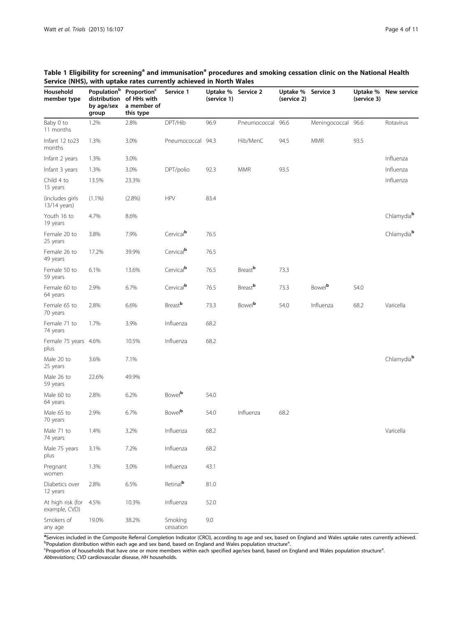| Household<br>member type           | <b>Population</b> b<br>distribution<br>by age/sex<br>group | Proportion <sup>c</sup><br>of HHs with<br>a member of<br>this type | Service 1             | Uptake %<br>(service 1)        | Service 2<br>Uptake % Service 3<br>(service 2) |      |                    | Uptake %<br>(service 3) | <b>New service</b> |
|------------------------------------|------------------------------------------------------------|--------------------------------------------------------------------|-----------------------|--------------------------------|------------------------------------------------|------|--------------------|-------------------------|--------------------|
| Baby 0 to<br>11 months             | 1.2%                                                       | 2.8%                                                               | DPT/Hib               | 96.9                           | Pneumococcal                                   | 96.6 | Meningococcal      | 96.6                    | Rotavirus          |
| Infant 12 to23<br>months           | 1.3%                                                       | 3.0%                                                               | Pneumococcal 94.3     | Hib/MenC<br>94.5<br><b>MMR</b> |                                                |      | 93.5               |                         |                    |
| Infant 2 years                     | 1.3%                                                       | 3.0%                                                               |                       |                                |                                                |      |                    |                         | Influenza          |
| Infant 3 years                     | 1.3%                                                       | 3.0%                                                               | DPT/polio             | 92.3<br><b>MMR</b><br>93.5     |                                                |      |                    | Influenza               |                    |
| Child 4 to<br>15 years             | 13.5%                                                      | 23.3%                                                              |                       |                                |                                                |      |                    |                         | Influenza          |
| (includes girls<br>13/14 years)    | $(1.1\%)$                                                  | (2.8%)                                                             | <b>HPV</b>            | 83.4                           |                                                |      |                    |                         |                    |
| Youth 16 to<br>19 years            | 4.7%                                                       | 8.6%                                                               |                       |                                |                                                |      |                    |                         | Chlamydiab         |
| Female 20 to<br>25 years           | 3.8%                                                       | 7.9%                                                               | Cervical <sup>b</sup> | 76.5                           |                                                |      |                    |                         | Chlamydiab         |
| Female 26 to<br>49 years           | 17.2%                                                      | 39.9%                                                              | Cervical <sup>b</sup> | 76.5                           |                                                |      |                    |                         |                    |
| Female 50 to<br>59 years           | 6.1%                                                       | 13.6%                                                              | Cervical <sup>b</sup> | 76.5                           | <b>Breast</b> b                                | 73.3 |                    |                         |                    |
| Female 60 to<br>64 years           | 2.9%                                                       | 6.7%                                                               | Cervical <sup>b</sup> | 76.5                           | <b>Breast</b> b                                | 73.3 | Bowel <sup>b</sup> | 54.0                    |                    |
| Female 65 to<br>70 years           | 2.8%                                                       | 6.6%                                                               | <b>Breast</b> b       | 73.3                           | Bowel <sup>b</sup>                             | 54.0 | Influenza          | 68.2                    | Varicella          |
| Female 71 to<br>74 years           | 1.7%                                                       | 3.9%                                                               | Influenza             | 68.2                           |                                                |      |                    |                         |                    |
| Female 75 years 4.6%<br>plus       |                                                            | 10.5%                                                              | Influenza             | 68.2                           |                                                |      |                    |                         |                    |
| Male 20 to<br>25 years             | 3.6%                                                       | 7.1%                                                               |                       |                                |                                                |      |                    |                         | Chlamydiab         |
| Male 26 to<br>59 years             | 22.6%                                                      | 49.9%                                                              |                       |                                |                                                |      |                    |                         |                    |
| Male 60 to<br>64 years             | 2.8%                                                       | 6.2%                                                               | Bowel <sup>b</sup>    | 54.0                           |                                                |      |                    |                         |                    |
| Male 65 to<br>70 years             | 2.9%                                                       | 6.7%                                                               | Bowel <sup>b</sup>    | 54.0                           | Influenza                                      | 68.2 |                    |                         |                    |
| Male 71 to<br>/4 years             | 1.4%                                                       | 3.2%                                                               | Influenza             | 68.2                           |                                                |      |                    |                         | Varicella          |
| Male 75 years<br>plus              | 3.1%                                                       | 7.2%                                                               | Influenza             | 68.2                           |                                                |      |                    |                         |                    |
| Pregnant<br>women                  | 1.3%                                                       | 3.0%                                                               | Influenza             | 43.1                           |                                                |      |                    |                         |                    |
| Diabetics over<br>12 years         | 2.8%                                                       | 6.5%                                                               | Retinal <sup>b</sup>  | 81.0                           |                                                |      |                    |                         |                    |
| At high risk (for<br>example, CVD) | 4.5%                                                       | 10.3%                                                              | Influenza             | 52.0                           |                                                |      |                    |                         |                    |
| Smokers of<br>any age              | 19.0%                                                      | 38.2%                                                              | Smoking<br>cessation  | 9.0                            |                                                |      |                    |                         |                    |

# <span id="page-3-0"></span>Table 1 Eligibility for screening<sup>a</sup> and immunisation<sup>a</sup> procedures and smoking cessation clinic on the National Health Service (NHS), with uptake rates currently achieved in North Wales

a<br>bervices included in the Composite Referral Completion Indicator (CRCI), according to age and sex, based on England and Wales uptake rates currently achieved.<br>between the upstablishat have one or more members within each

<sup>c</sup>Proportion of households that have one or more members within each specified age/sex band, based on England and Wales population structure<sup>a</sup>. . Abbreviations; CVD cardiovascular disease, HH households.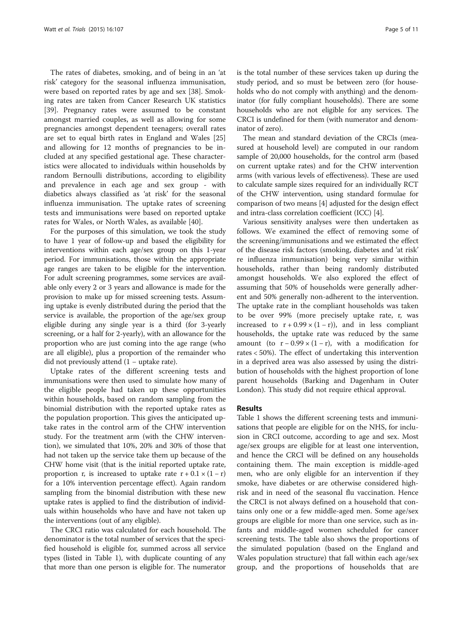The rates of diabetes, smoking, and of being in an 'at risk' category for the seasonal influenza immunisation, were based on reported rates by age and sex [[38\]](#page-10-0). Smoking rates are taken from Cancer Research UK statistics [[39\]](#page-10-0). Pregnancy rates were assumed to be constant amongst married couples, as well as allowing for some pregnancies amongst dependent teenagers; overall rates are set to equal birth rates in England and Wales [[25](#page-10-0)] and allowing for 12 months of pregnancies to be included at any specified gestational age. These characteristics were allocated to individuals within households by random Bernoulli distributions, according to eligibility and prevalence in each age and sex group - with diabetics always classified as 'at risk' for the seasonal influenza immunisation. The uptake rates of screening tests and immunisations were based on reported uptake rates for Wales, or North Wales, as available [[40\]](#page-10-0).

For the purposes of this simulation, we took the study to have 1 year of follow-up and based the eligibility for interventions within each age/sex group on this 1-year period. For immunisations, those within the appropriate age ranges are taken to be eligible for the intervention. For adult screening programmes, some services are available only every 2 or 3 years and allowance is made for the provision to make up for missed screening tests. Assuming uptake is evenly distributed during the period that the service is available, the proportion of the age/sex group eligible during any single year is a third (for 3-yearly screening, or a half for 2-yearly), with an allowance for the proportion who are just coming into the age range (who are all eligible), plus a proportion of the remainder who did not previously attend (1 − uptake rate).

Uptake rates of the different screening tests and immunisations were then used to simulate how many of the eligible people had taken up these opportunities within households, based on random sampling from the binomial distribution with the reported uptake rates as the population proportion. This gives the anticipated uptake rates in the control arm of the CHW intervention study. For the treatment arm (with the CHW intervention), we simulated that 10%, 20% and 30% of those that had not taken up the service take them up because of the CHW home visit (that is the initial reported uptake rate, proportion r, is increased to uptake rate  $r + 0.1 \times (1 - r)$ for a 10% intervention percentage effect). Again random sampling from the binomial distribution with these new uptake rates is applied to find the distribution of individuals within households who have and have not taken up the interventions (out of any eligible).

The CRCI ratio was calculated for each household. The denominator is the total number of services that the specified household is eligible for, summed across all service types (listed in Table [1\)](#page-3-0), with duplicate counting of any that more than one person is eligible for. The numerator is the total number of these services taken up during the study period, and so must be between zero (for households who do not comply with anything) and the denominator (for fully compliant households). There are some households who are not eligible for any services. The CRCI is undefined for them (with numerator and denominator of zero).

The mean and standard deviation of the CRCIs (measured at household level) are computed in our random sample of 20,000 households, for the control arm (based on current uptake rates) and for the CHW intervention arms (with various levels of effectiveness). These are used to calculate sample sizes required for an individually RCT of the CHW intervention, using standard formulae for comparison of two means [\[4](#page-9-0)] adjusted for the design effect and intra-class correlation coefficient (ICC) [[4\]](#page-9-0).

Various sensitivity analyses were then undertaken as follows. We examined the effect of removing some of the screening/immunisations and we estimated the effect of the disease risk factors (smoking, diabetes and 'at risk' re influenza immunisation) being very similar within households, rather than being randomly distributed amongst households. We also explored the effect of assuming that 50% of households were generally adherent and 50% generally non-adherent to the intervention. The uptake rate in the compliant households was taken to be over 99% (more precisely uptake rate, r, was increased to  $r + 0.99 \times (1 - r)$ , and in less compliant households, the uptake rate was reduced by the same amount (to  $r - 0.99 \times (1 - r)$ , with a modification for rates < 50%). The effect of undertaking this intervention in a deprived area was also assessed by using the distribution of households with the highest proportion of lone parent households (Barking and Dagenham in Outer London). This study did not require ethical approval.

# Results

Table [1](#page-3-0) shows the different screening tests and immunisations that people are eligible for on the NHS, for inclusion in CRCI outcome, according to age and sex. Most age/sex groups are eligible for at least one intervention, and hence the CRCI will be defined on any households containing them. The main exception is middle-aged men, who are only eligible for an intervention if they smoke, have diabetes or are otherwise considered highrisk and in need of the seasonal flu vaccination. Hence the CRCI is not always defined on a household that contains only one or a few middle-aged men. Some age/sex groups are eligible for more than one service, such as infants and middle-aged women scheduled for cancer screening tests. The table also shows the proportions of the simulated population (based on the England and Wales population structure) that fall within each age/sex group, and the proportions of households that are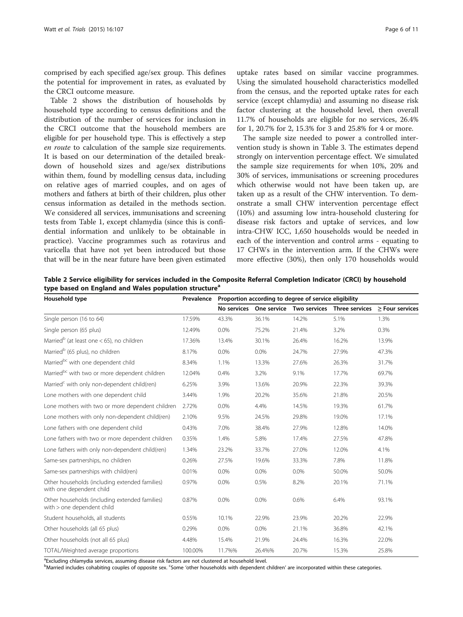comprised by each specified age/sex group. This defines the potential for improvement in rates, as evaluated by the CRCI outcome measure.

Table 2 shows the distribution of households by household type according to census definitions and the distribution of the number of services for inclusion in the CRCI outcome that the household members are eligible for per household type. This is effectively a step en route to calculation of the sample size requirements. It is based on our determination of the detailed breakdown of household sizes and age/sex distributions within them, found by modelling census data, including on relative ages of married couples, and on ages of mothers and fathers at birth of their children, plus other census information as detailed in the methods section. We considered all services, immunisations and screening tests from Table [1,](#page-3-0) except chlamydia (since this is confidential information and unlikely to be obtainable in practice). Vaccine programmes such as rotavirus and varicella that have not yet been introduced but those that will be in the near future have been given estimated

uptake rates based on similar vaccine programmes. Using the simulated household characteristics modelled from the census, and the reported uptake rates for each service (except chlamydia) and assuming no disease risk factor clustering at the household level, then overall 11.7% of households are eligible for no services, 26.4% for 1, 20.7% for 2, 15.3% for 3 and 25.8% for 4 or more.

The sample size needed to power a controlled intervention study is shown in Table [3](#page-6-0). The estimates depend strongly on intervention percentage effect. We simulated the sample size requirements for when 10%, 20% and 30% of services, immunisations or screening procedures which otherwise would not have been taken up, are taken up as a result of the CHW intervention. To demonstrate a small CHW intervention percentage effect (10%) and assuming low intra-household clustering for disease risk factors and uptake of services, and low intra-CHW ICC, 1,650 households would be needed in each of the intervention and control arms - equating to 17 CHWs in the intervention arm. If the CHWs were more effective (30%), then only 170 households would

Table 2 Service eligibility for services included in the Composite Referral Completion Indicator (CRCI) by household type based on England and Wales population structure<sup>a</sup>

| Household type                                                               | Prevalence | Proportion according to degree of service eligibility |         |                          |                |                 |  |  |  |
|------------------------------------------------------------------------------|------------|-------------------------------------------------------|---------|--------------------------|----------------|-----------------|--|--|--|
|                                                                              |            | No services                                           |         | One service Two services | Three services | > Four services |  |  |  |
| Single person (16 to 64)                                                     | 17.59%     | 43.3%                                                 | 36.1%   | 14.2%                    | 5.1%           | 1.3%            |  |  |  |
| Single person (65 plus)                                                      | 12.49%     | 0.0%                                                  | 75.2%   | 21.4%                    | 3.2%           | 0.3%            |  |  |  |
| Married <sup>b</sup> (at least one $<$ 65), no children                      | 17.36%     | 13.4%                                                 | 30.1%   | 26.4%                    | 16.2%          | 13.9%           |  |  |  |
| Married <sup>b</sup> (65 plus), no children                                  | 8.17%      | 0.0%                                                  | 0.0%    | 24.7%                    | 27.9%          | 47.3%           |  |  |  |
| Married <sup>bc</sup> with one dependent child                               | 8.34%      | 1.1%                                                  | 13.3%   | 27.6%                    | 26.3%          | 31.7%           |  |  |  |
| Married <sup>bc</sup> with two or more dependent children                    | 12.04%     | 0.4%                                                  | 3.2%    | 9.1%                     | 17.7%          | 69.7%           |  |  |  |
| Married <sup>c</sup> with only non-dependent child(ren)                      | 6.25%      | 3.9%                                                  | 13.6%   | 20.9%                    | 22.3%          | 39.3%           |  |  |  |
| Lone mothers with one dependent child                                        | 3.44%      | 1.9%                                                  | 20.2%   | 35.6%                    | 21.8%          | 20.5%           |  |  |  |
| Lone mothers with two or more dependent children                             | 2.72%      | 0.0%                                                  | 4.4%    | 14.5%                    | 19.3%          | 61.7%           |  |  |  |
| Lone mothers with only non-dependent child(ren)                              | 2.10%      | 9.5%                                                  | 24.5%   | 29.8%                    | 19.0%          | 17.1%           |  |  |  |
| Lone fathers with one dependent child                                        | 0.43%      | 7.0%                                                  | 38.4%   | 27.9%                    | 12.8%          | 14.0%           |  |  |  |
| Lone fathers with two or more dependent children                             | 0.35%      | 1.4%                                                  | 5.8%    | 17.4%                    | 27.5%          | 47.8%           |  |  |  |
| Lone fathers with only non-dependent child(ren)                              | 1.34%      | 23.2%                                                 | 33.7%   | 27.0%                    | 12.0%          | 4.1%            |  |  |  |
| Same-sex partnerships, no children                                           | 0.26%      | 27.5%                                                 | 19.6%   | 33.3%                    | 7.8%           | 11.8%           |  |  |  |
| Same-sex partnerships with child(ren)                                        | 0.01%      | 0.0%                                                  | 0.0%    | 0.0%                     | 50.0%          | 50.0%           |  |  |  |
| Other households (including extended families)<br>with one dependent child   | 0.97%      | 0.0%                                                  | 0.5%    | 8.2%                     | 20.1%          | 71.1%           |  |  |  |
| Other households (including extended families)<br>with > one dependent child | 0.87%      | 0.0%                                                  | $0.0\%$ | 0.6%                     | 6.4%           | 93.1%           |  |  |  |
| Student households, all students                                             | 0.55%      | 10.1%                                                 | 22.9%   | 23.9%                    | 20.2%          | 22.9%           |  |  |  |
| Other households (all 65 plus)                                               | 0.29%      | 0.0%                                                  | 0.0%    | 21.1%                    | 36.8%          | 42.1%           |  |  |  |
| Other households (not all 65 plus)                                           | 4.48%      | 15.4%                                                 | 21.9%   | 24.4%                    | 16.3%          | 22.0%           |  |  |  |
| TOTAL/Weighted average proportions                                           | 100.00%    | 11.7%%                                                | 26.4%%  | 20.7%                    | 15.3%          | 25.8%           |  |  |  |

<sup>a</sup>Excluding chlamydia services, assuming disease risk factors are not clustered at household level.

b<br>Married includes cohabiting couples of opposite sex. <sup>c</sup>Some 'other households with dependent children' are incorporated within these categories.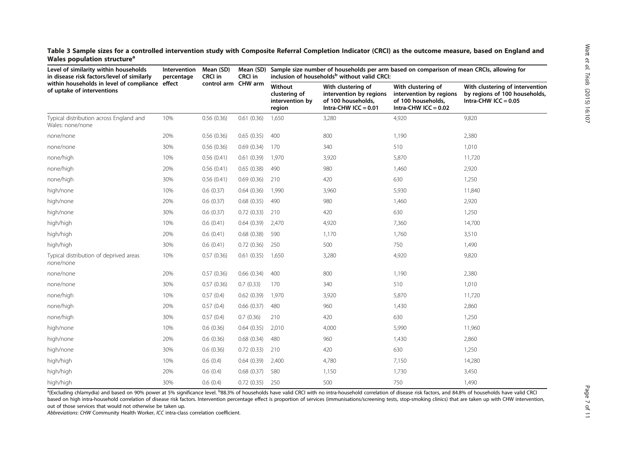<span id="page-6-0"></span>

| Table 3 Sample sizes for a controlled intervention study with Composite Referral Completion Indicator (CRCI) as the outcome measure, based on England and |  |  |  |  |                                                                                                                 |  |  |  |  |
|-----------------------------------------------------------------------------------------------------------------------------------------------------------|--|--|--|--|-----------------------------------------------------------------------------------------------------------------|--|--|--|--|
| Wales population structure <sup>a</sup>                                                                                                                   |  |  |  |  |                                                                                                                 |  |  |  |  |
| .                                                                                                                                                         |  |  |  |  | the contract of the contract of the contract of the contract of the contract of the contract of the contract of |  |  |  |  |

| Level of similarity within households<br>in disease risk factors/level of similarly | Intervention<br>percentage | Mean (SD)<br><b>CRCI in</b> | Mean (SD)<br><b>CRCI in</b> | Sample size number of households per arm based on comparison of mean CRCIs, allowing for<br>inclusion of households <sup>b</sup> without valid CRCI: |                                                                                               |                                                                                               |                                                                                            |  |  |  |
|-------------------------------------------------------------------------------------|----------------------------|-----------------------------|-----------------------------|------------------------------------------------------------------------------------------------------------------------------------------------------|-----------------------------------------------------------------------------------------------|-----------------------------------------------------------------------------------------------|--------------------------------------------------------------------------------------------|--|--|--|
| within households in level of compliance<br>of uptake of interventions              | effect                     | control arm CHW arm         |                             | Without<br>clustering of<br>intervention by<br>region                                                                                                | With clustering of<br>intervention by regions<br>of 100 households,<br>Intra-CHW ICC = $0.01$ | With clustering of<br>intervention by regions<br>of 100 households,<br>Intra-CHW ICC = $0.02$ | With clustering of intervention<br>by regions of 100 households,<br>Intra-CHW ICC = $0.05$ |  |  |  |
| Typical distribution across England and<br>Wales: none/none                         | 10%                        | 0.56(0.36)                  | 0.61(0.36)                  | 1,650                                                                                                                                                | 3,280                                                                                         | 4,920                                                                                         | 9,820                                                                                      |  |  |  |
| none/none                                                                           | 20%                        | 0.56(0.36)                  | 0.65(0.35)                  | 400                                                                                                                                                  | 800                                                                                           | 1,190                                                                                         | 2,380                                                                                      |  |  |  |
| none/none                                                                           | 30%                        | 0.56(0.36)                  | 0.69(0.34)                  | 170                                                                                                                                                  | 340                                                                                           | 510                                                                                           | 1,010                                                                                      |  |  |  |
| none/high                                                                           | 10%                        | 0.56(0.41)                  | 0.61(0.39)                  | 1,970                                                                                                                                                | 3,920                                                                                         | 5,870                                                                                         | 11,720                                                                                     |  |  |  |
| none/high                                                                           | 20%                        | 0.56(0.41)                  | 0.65(0.38)                  | 490                                                                                                                                                  | 980                                                                                           | 1,460                                                                                         | 2,920                                                                                      |  |  |  |
| none/high                                                                           | 30%                        | 0.56(0.41)                  | 0.69(0.36)                  | 210                                                                                                                                                  | 420                                                                                           | 630                                                                                           | 1,250                                                                                      |  |  |  |
| high/none                                                                           | 10%                        | 0.6(0.37)                   | 0.64(0.36)                  | 1,990                                                                                                                                                | 3,960                                                                                         | 5,930                                                                                         | 11,840                                                                                     |  |  |  |
| high/none                                                                           | 20%                        | 0.6(0.37)                   | 0.68(0.35)                  | 490                                                                                                                                                  | 980                                                                                           | 1,460                                                                                         | 2,920                                                                                      |  |  |  |
| high/none                                                                           | 30%                        | 0.6(0.37)                   | 0.72(0.33)                  | 210                                                                                                                                                  | 420                                                                                           | 630                                                                                           | 1,250                                                                                      |  |  |  |
| high/high                                                                           | 10%                        | 0.6(0.41)                   | 0.64(0.39)                  | 2,470                                                                                                                                                | 4,920                                                                                         | 7,360                                                                                         | 14,700                                                                                     |  |  |  |
| high/high                                                                           | 20%                        | 0.6(0.41)                   | 0.68(0.38)                  | 590                                                                                                                                                  | 1,170                                                                                         | 1,760                                                                                         | 3,510                                                                                      |  |  |  |
| high/high                                                                           | 30%                        | 0.6(0.41)                   | 0.72(0.36)                  | 250                                                                                                                                                  | 500                                                                                           | 750                                                                                           | 1,490                                                                                      |  |  |  |
| Typical distribution of deprived areas<br>none/none                                 | 10%                        | 0.57(0.36)                  | 0.61(0.35)                  | 1,650                                                                                                                                                | 3,280                                                                                         | 4,920                                                                                         | 9,820                                                                                      |  |  |  |
| none/none                                                                           | 20%                        | 0.57(0.36)                  | 0.66(0.34)                  | 400                                                                                                                                                  | 800                                                                                           | 1,190                                                                                         | 2,380                                                                                      |  |  |  |
| none/none                                                                           | 30%                        | 0.57(0.36)                  | 0.7(0.33)                   | 170                                                                                                                                                  | 340                                                                                           | 510                                                                                           | 1,010                                                                                      |  |  |  |
| none/high                                                                           | 10%                        | 0.57(0.4)                   | 0.62(0.39)                  | 1,970                                                                                                                                                | 3,920                                                                                         | 5,870                                                                                         | 11,720                                                                                     |  |  |  |
| none/high                                                                           | 20%                        | 0.57(0.4)                   | 0.66(0.37)                  | 480                                                                                                                                                  | 960                                                                                           | 1,430                                                                                         | 2,860                                                                                      |  |  |  |
| none/high                                                                           | 30%                        | 0.57(0.4)                   | 0.7(0.36)                   | 210                                                                                                                                                  | 420                                                                                           | 630                                                                                           | 1,250                                                                                      |  |  |  |
| high/none                                                                           | 10%                        | 0.6(0.36)                   | 0.64(0.35)                  | 2,010                                                                                                                                                | 4,000                                                                                         | 5,990                                                                                         | 11,960                                                                                     |  |  |  |
| high/none                                                                           | 20%                        | 0.6(0.36)                   | 0.68(0.34)                  | 480                                                                                                                                                  | 960                                                                                           | 1,430                                                                                         | 2,860                                                                                      |  |  |  |
| high/none                                                                           | 30%                        | 0.6(0.36)                   | 0.72(0.33)                  | 210                                                                                                                                                  | 420                                                                                           | 630                                                                                           | 1,250                                                                                      |  |  |  |
| high/high                                                                           | 10%                        | 0.6(0.4)                    | 0.64(0.39)                  | 2,400                                                                                                                                                | 4,780                                                                                         | 7,150                                                                                         | 14,280                                                                                     |  |  |  |
| high/high                                                                           | 20%                        | 0.6(0.4)                    | 0.68(0.37)                  | 580                                                                                                                                                  | 1,150                                                                                         | 1,730                                                                                         | 3,450                                                                                      |  |  |  |
| high/high                                                                           | 30%                        | 0.6(0.4)                    | 0.72(0.35)                  | 250                                                                                                                                                  | 500                                                                                           | 750                                                                                           | 1,490                                                                                      |  |  |  |

<sup>a</sup>(Excluding chlamydia) and based on 90% power at 5% significance level. <sup>b</sup>88.3% of households have valid CRCI with no intra-household correlation of disease risk factors, and 84.8% of households have valid CRCI based on high intra-household correlation of disease risk factors. Intervention percentage effect is proportion of services (immunisations/screening tests, stop-smoking clinics) that are taken up with CHW intervention, out of those services that would not otherwise be taken up.

Abbreviations: CHW Community Health Worker, ICC intra-class correlation coefficient.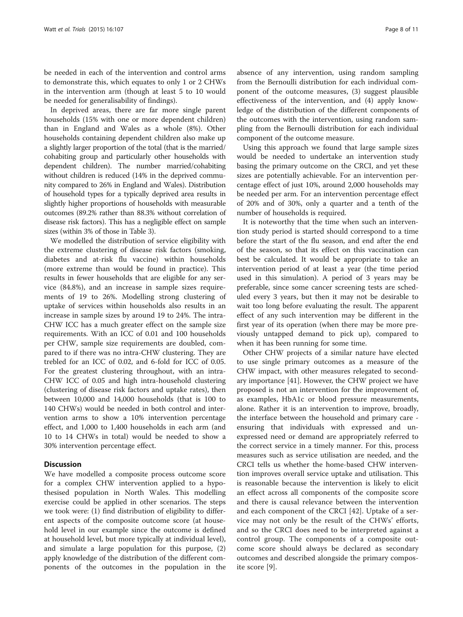be needed in each of the intervention and control arms to demonstrate this, which equates to only 1 or 2 CHWs in the intervention arm (though at least 5 to 10 would be needed for generalisability of findings).

In deprived areas, there are far more single parent households (15% with one or more dependent children) than in England and Wales as a whole (8%). Other households containing dependent children also make up a slightly larger proportion of the total (that is the married/ cohabiting group and particularly other households with dependent children). The number married/cohabiting without children is reduced (14% in the deprived community compared to 26% in England and Wales). Distribution of household types for a typically deprived area results in slightly higher proportions of households with measurable outcomes (89.2% rather than 88.3% without correlation of disease risk factors). This has a negligible effect on sample sizes (within 3% of those in Table [3](#page-6-0)).

We modelled the distribution of service eligibility with the extreme clustering of disease risk factors (smoking, diabetes and at-risk flu vaccine) within households (more extreme than would be found in practice). This results in fewer households that are eligible for any service (84.8%), and an increase in sample sizes requirements of 19 to 26%. Modelling strong clustering of uptake of services within households also results in an increase in sample sizes by around 19 to 24%. The intra-CHW ICC has a much greater effect on the sample size requirements. With an ICC of 0.01 and 100 households per CHW, sample size requirements are doubled, compared to if there was no intra-CHW clustering. They are trebled for an ICC of 0.02, and 6-fold for ICC of 0.05. For the greatest clustering throughout, with an intra-CHW ICC of 0.05 and high intra-household clustering (clustering of disease risk factors and uptake rates), then between 10,000 and 14,000 households (that is 100 to 140 CHWs) would be needed in both control and intervention arms to show a 10% intervention percentage effect, and 1,000 to 1,400 households in each arm (and 10 to 14 CHWs in total) would be needed to show a 30% intervention percentage effect.

# **Discussion**

We have modelled a composite process outcome score for a complex CHW intervention applied to a hypothesised population in North Wales. This modelling exercise could be applied in other scenarios. The steps we took were: (1) find distribution of eligibility to different aspects of the composite outcome score (at household level in our example since the outcome is defined at household level, but more typically at individual level), and simulate a large population for this purpose, (2) apply knowledge of the distribution of the different components of the outcomes in the population in the

absence of any intervention, using random sampling from the Bernoulli distribution for each individual component of the outcome measures, (3) suggest plausible effectiveness of the intervention, and (4) apply knowledge of the distribution of the different components of the outcomes with the intervention, using random sampling from the Bernoulli distribution for each individual component of the outcome measure.

Using this approach we found that large sample sizes would be needed to undertake an intervention study basing the primary outcome on the CRCI, and yet these sizes are potentially achievable. For an intervention percentage effect of just 10%, around 2,000 households may be needed per arm. For an intervention percentage effect of 20% and of 30%, only a quarter and a tenth of the number of households is required.

It is noteworthy that the time when such an intervention study period is started should correspond to a time before the start of the flu season, and end after the end of the season, so that its effect on this vaccination can best be calculated. It would be appropriate to take an intervention period of at least a year (the time period used in this simulation). A period of 3 years may be preferable, since some cancer screening tests are scheduled every 3 years, but then it may not be desirable to wait too long before evaluating the result. The apparent effect of any such intervention may be different in the first year of its operation (when there may be more previously untapped demand to pick up), compared to when it has been running for some time.

Other CHW projects of a similar nature have elected to use single primary outcomes as a measure of the CHW impact, with other measures relegated to secondary importance [[41\]](#page-10-0). However, the CHW project we have proposed is not an intervention for the improvement of, as examples, HbA1c or blood pressure measurements, alone. Rather it is an intervention to improve, broadly, the interface between the household and primary care ensuring that individuals with expressed and unexpressed need or demand are appropriately referred to the correct service in a timely manner. For this, process measures such as service utilisation are needed, and the CRCI tells us whether the home-based CHW intervention improves overall service uptake and utilisation. This is reasonable because the intervention is likely to elicit an effect across all components of the composite score and there is causal relevance between the intervention and each component of the CRCI [\[42\]](#page-10-0). Uptake of a service may not only be the result of the CHWs' efforts, and so the CRCI does need to be interpreted against a control group. The components of a composite outcome score should always be declared as secondary outcomes and described alongside the primary composite score [[9](#page-9-0)].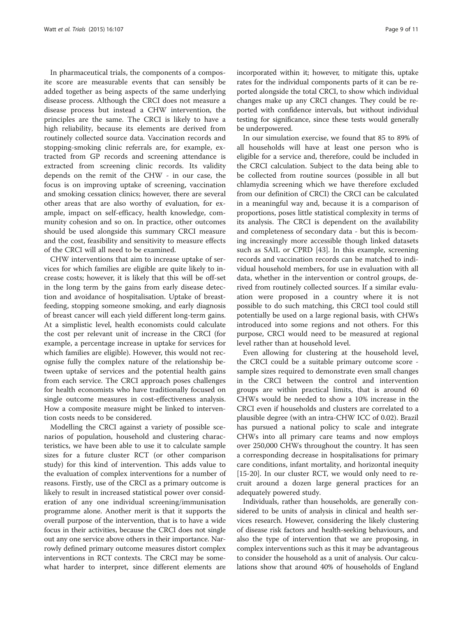In pharmaceutical trials, the components of a composite score are measurable events that can sensibly be added together as being aspects of the same underlying disease process. Although the CRCI does not measure a disease process but instead a CHW intervention, the principles are the same. The CRCI is likely to have a high reliability, because its elements are derived from routinely collected source data. Vaccination records and stopping-smoking clinic referrals are, for example, extracted from GP records and screening attendance is extracted from screening clinic records. Its validity depends on the remit of the CHW - in our case, the focus is on improving uptake of screening, vaccination and smoking cessation clinics; however, there are several other areas that are also worthy of evaluation, for example, impact on self-efficacy, health knowledge, community cohesion and so on. In practice, other outcomes should be used alongside this summary CRCI measure and the cost, feasibility and sensitivity to measure effects of the CRCI will all need to be examined.

CHW interventions that aim to increase uptake of services for which families are eligible are quite likely to increase costs; however, it is likely that this will be off-set in the long term by the gains from early disease detection and avoidance of hospitalisation. Uptake of breastfeeding, stopping someone smoking, and early diagnosis of breast cancer will each yield different long-term gains. At a simplistic level, health economists could calculate the cost per relevant unit of increase in the CRCI (for example, a percentage increase in uptake for services for which families are eligible). However, this would not recognise fully the complex nature of the relationship between uptake of services and the potential health gains from each service. The CRCI approach poses challenges for health economists who have traditionally focused on single outcome measures in cost-effectiveness analysis. How a composite measure might be linked to intervention costs needs to be considered.

Modelling the CRCI against a variety of possible scenarios of population, household and clustering characteristics, we have been able to use it to calculate sample sizes for a future cluster RCT (or other comparison study) for this kind of intervention. This adds value to the evaluation of complex interventions for a number of reasons. Firstly, use of the CRCI as a primary outcome is likely to result in increased statistical power over consideration of any one individual screening/immunisation programme alone. Another merit is that it supports the overall purpose of the intervention, that is to have a wide focus in their activities, because the CRCI does not single out any one service above others in their importance. Narrowly defined primary outcome measures distort complex interventions in RCT contexts. The CRCI may be somewhat harder to interpret, since different elements are incorporated within it; however, to mitigate this, uptake rates for the individual components parts of it can be reported alongside the total CRCI, to show which individual changes make up any CRCI changes. They could be reported with confidence intervals, but without individual testing for significance, since these tests would generally be underpowered.

In our simulation exercise, we found that 85 to 89% of all households will have at least one person who is eligible for a service and, therefore, could be included in the CRCI calculation. Subject to the data being able to be collected from routine sources (possible in all but chlamydia screening which we have therefore excluded from our definition of CRCI) the CRCI can be calculated in a meaningful way and, because it is a comparison of proportions, poses little statistical complexity in terms of its analysis. The CRCI is dependent on the availability and completeness of secondary data - but this is becoming increasingly more accessible though linked datasets such as SAIL or CPRD [\[43](#page-10-0)]. In this example, screening records and vaccination records can be matched to individual household members, for use in evaluation with all data, whether in the intervention or control groups, derived from routinely collected sources. If a similar evaluation were proposed in a country where it is not possible to do such matching, this CRCI tool could still potentially be used on a large regional basis, with CHWs introduced into some regions and not others. For this purpose, CRCI would need to be measured at regional level rather than at household level.

Even allowing for clustering at the household level, the CRCI could be a suitable primary outcome score sample sizes required to demonstrate even small changes in the CRCI between the control and intervention groups are within practical limits, that is around 60 CHWs would be needed to show a 10% increase in the CRCI even if households and clusters are correlated to a plausible degree (with an intra-CHW ICC of 0.02). Brazil has pursued a national policy to scale and integrate CHWs into all primary care teams and now employs over 250,000 CHWs throughout the country. It has seen a corresponding decrease in hospitalisations for primary care conditions, infant mortality, and horizontal inequity [[15-](#page-9-0)[20](#page-10-0)]. In our cluster RCT, we would only need to recruit around a dozen large general practices for an adequately powered study.

Individuals, rather than households, are generally considered to be units of analysis in clinical and health services research. However, considering the likely clustering of disease risk factors and health-seeking behaviours, and also the type of intervention that we are proposing, in complex interventions such as this it may be advantageous to consider the household as a unit of analysis. Our calculations show that around 40% of households of England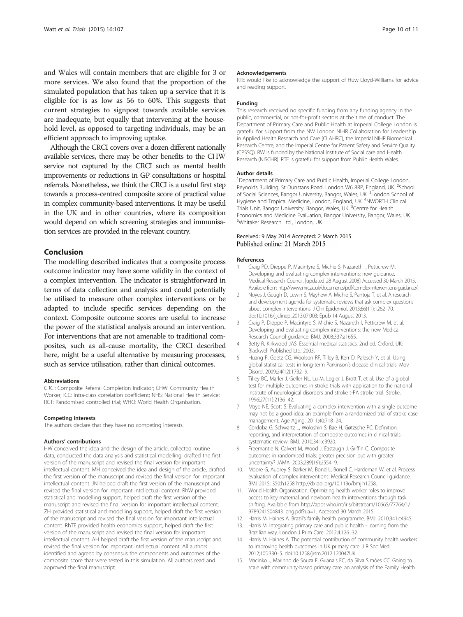<span id="page-9-0"></span>and Wales will contain members that are eligible for 3 or more services. We also found that the proportion of the simulated population that has taken up a service that it is eligible for is as low as 56 to 60%. This suggests that current strategies to signpost towards available services are inadequate, but equally that intervening at the household level, as opposed to targeting individuals, may be an efficient approach to improving uptake.

Although the CRCI covers over a dozen different nationally available services, there may be other benefits to the CHW service not captured by the CRCI such as mental health improvements or reductions in GP consultations or hospital referrals. Nonetheless, we think the CRCI is a useful first step towards a process-centred composite score of practical value in complex community-based interventions. It may be useful in the UK and in other countries, where its composition would depend on which screening strategies and immunisation services are provided in the relevant country.

# Conclusion

The modelling described indicates that a composite process outcome indicator may have some validity in the context of a complex intervention. The indicator is straightforward in terms of data collection and analysis and could potentially be utilised to measure other complex interventions or be adapted to include specific services depending on the context. Composite outcome scores are useful to increase the power of the statistical analysis around an intervention. For interventions that are not amenable to traditional composites, such as all-cause mortality, the CRCI described here, might be a useful alternative by measuring processes, such as service utilisation, rather than clinical outcomes.

#### Abbreviations

CRCI: Composite Referral Completion Indicator; CHW: Community Health Worker; ICC: intra-class correlation coefficient; NHS: National Health Service; RCT: Randomised controlled trial; WHO: World Health Organisation.

#### Competing interests

The authors declare that they have no competing interests.

#### Authors' contributions

HW conceived the idea and the design of the article, collected routine data, conducted the data analysis and statistical modelling, drafted the first version of the manuscript and revised the final version for important intellectual content. MH conceived the idea and design of the article, drafted the first version of the manuscript and revised the final version for important intellectual content. JN helped draft the first version of the manuscript and revised the final version for important intellectual content. RhW provided statistical and modelling support, helped draft the first version of the manuscript and revised the final version for important intellectual content. ZH provided statistical and modelling support, helped draft the first version of the manuscript and revised the final version for important intellectual content. RhTE provided health economics support, helped draft the first version of the manuscript and revised the final version for important intellectual content. AH helped draft the first version of the manuscript and revised the final version for important intellectual content. All authors identified and agreed by consensus the components and outcomes of the composite score that were tested in this simulation. All authors read and approved the final manuscript.

#### Acknowledgements

RTE would like to acknowledge the support of Huw Lloyd-Williams for advice and reading support.

#### Funding

This research received no specific funding from any funding agency in the public, commercial, or not-for-profit sectors at the time of conduct. The Department of Primary Care and Public Health at Imperial College London is grateful for support from the NW London NIHR Collaboration for Leadership in Applied Health Research and Care (CLAHRC), the Imperial NIHR Biomedical Research Centre, and the Imperial Centre for Patient Safety and Service Quality (CPSSQ). RW is funded by the National Institute of Social care and Health Research (NISCHR). RTE is grateful for support from Public Health Wales.

#### Author details

<sup>1</sup>Department of Primary Care and Public Health, Imperial College London, Reynolds Building, St Dunstans Road, London W6 8RP, England, UK. <sup>2</sup>School of Social Sciences, Bangor University, Bangor, Wales, UK. <sup>3</sup> London School of Hygiene and Tropical Medicine, London, England, UK. <sup>4</sup>NWORTH Clinical Trials Unit, Bangor University, Bangor, Wales, UK.<sup>5</sup> Centre for Health Economics and Medicine Evaluation, Bangor University, Bangor, Wales, UK. 6 Whitaker Research Ltd., London, UK.

#### Received: 9 May 2014 Accepted: 2 March 2015 Published online: 21 March 2015

#### References

- 1. Craig PD, Dieppe P, Macintyre S, Michie S, Nazareth I, Petticrew M. Developing and evaluating complex interventions: new guidance. Medical Research Council. [updated 28 August 2008] Accessed 30 March 2015. Available from:<http://www.mrc.ac.uk/documents/pdf/complex-interventions-guidance/>.
- 2. Noyes J, Gough D, Lewin S, Mayhew A, Michie S, Pantoja T, et al. A research and development agenda for systematic reviews that ask complex questions about complex interventions. J Clin Epidemiol. 2013;66(11):1262–70. doi:[10.1016/j.jclinepi.2013.07.003](http://dx.doi.org/10.1016/j.jclinepi.2013.07.003); Epub 14 August 2013.
- 3. Craig P, Dieppe P, Macintyre S, Michie S, Nazareth I, Petticrew M, et al. Developing and evaluating complex interventions: the new Medical Research Council guidance. BMJ. 2008;337:a1655.
- 4. Betty R, Kirkwood JAS. Essential medical statistics. 2nd ed. Oxford, UK: Blackwell Published Ltd; 2003.
- 5. Huang P, Goetz CG, Woolson RF, Tilley B, Kerr D, Palesch Y, et al. Using global statistical tests in long-term Parkinson's disease clinical trials. Mov Disord. 2009;24(12):1732–9.
- 6. Tilley BC, Marler J, Geller NL, Lu M, Legler J, Brott T, et al. Use of a global test for multiple outcomes in stroke trials with application to the national institute of neurological disorders and stroke t-PA stroke trial. Stroke. 1996;27(11):2136–42.
- Mayo NE, Scott S. Evaluating a complex intervention with a single outcome may not be a good idea: an example from a randomized trial of stroke case management. Age Aging. 2011;40:718–24.
- 8. Cordoba G, Schwartz L, Woloshin S, Bae H, Gøtzsche PC. Definition, reporting, and interpretation of composite outcomes in clinical trials: systematic review. BMJ. 2010;341:c3920.
- 9. Freemantle N, Calvert M, Wood J, Eastaugh J, Griffin C. Composite outcomes in randomised trials: greater precision but with greater uncertainty? JAMA. 2003;289(19):2554–9.
- 10. Moore G, Audrey S, Barker M, Bond L, Bonell C, Hardeman W, et al. Process evaluation of complex interventions: Medical Research Council guidance. BMJ 2015; 350:h1258 [http://dx.doi.org/10.1136/bmj.h1258.](http://dx.doi.org/10.1136/bmj.h1258)
- 11. World Health Organization: Optimizing health worker roles to improve access to key maternal and newborn health interventions through task shifting. Available from [http://apps.who.int/iris/bitstream/10665/77764/1/](http://apps.who.int/iris/bitstream/10665/77764/1/9789241504843_eng.pdf?ua=1) [9789241504843\\_eng.pdf?ua=1.](http://apps.who.int/iris/bitstream/10665/77764/1/9789241504843_eng.pdf?ua=1) Accessed 30 March 2015.
- 12. Harris M, Haines A. Brazil's family health programme. BMJ. 2010;341:c4945.
- 13. Harris M. Integrating primary care and public health learning from the Brazilian way. London J Prim Care. 2012;4:126–32.
- 14. Harris M, Haines A. The potential contribution of community health workers to improving health outcomes in UK primary care. J R Soc Med. 2012;105:330–5. doi:[10.1258/jrsm.2012.120047UK](http://dx.doi.org/10.1258/jrsm.2012.120047UK).
- 15. Macinko J, Marinho de Souza F, Guanais FC, da Silva Simões CC. Going to scale with community-based primary care: an analysis of the Family Health